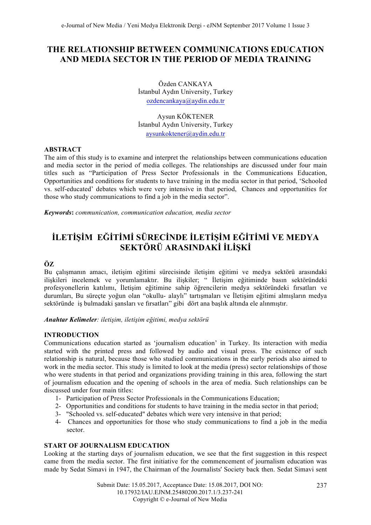# **THE RELATIONSHIP BETWEEN COMMUNICATIONS EDUCATION AND MEDIA SECTOR IN THE PERIOD OF MEDIA TRAINING**

Özden CANKAYA İstanbul Aydın University, Turkey ozdencankaya@aydin.edu.tr

Aysun KÖKTENER İstanbul Aydın University, Turkey aysunkoktener@aydin.edu.tr

# **ABSTRACT**

The aim of this study is to examine and interpret the relationships between communications education and media sector in the period of media colleges. The relationships are discussed under four main titles such as "Participation of Press Sector Professionals in the Communications Education, Opportunities and conditions for students to have training in the media sector in that period, 'Schooled vs. self-educated' debates which were very intensive in that period, Chances and opportunities for those who study communications to find a job in the media sector".

*Keywords***:** *communication, communication education, media sector*

# **İLETİŞİM EĞİTİMİ SÜRECİNDE İLETİŞİM EĞİTİMİ VE MEDYA SEKTÖRÜ ARASINDAKİ İLİŞKİ**

# **ÖZ**

Bu çalışmanın amacı, iletişim eğitimi sürecisinde iletişim eğitimi ve medya sektörü arasındaki ilişkileri incelemek ve yorumlamaktır. Bu ilişkiler; " İletişim eğitiminde basın sektöründeki profesyonellerin katılımı, İletişim eğitimine sahip öğrencilerin medya sektöründeki fırsatları ve durumları, Bu süreçte yoğun olan "okullu- alaylı" tartışmaları ve İletişim eğitimi almışların medya sektöründe iş bulmadaki şansları ve fırsatları" gibi dört ana başlık altında ele alınmıştır.

*Anahtar Kelimeler: iletişim, iletişim eğitimi, medya sektörü*

## **INTRODUCTION**

Communications education started as 'journalism education' in Turkey. Its interaction with media started with the printed press and followed by audio and visual press. The existence of such relationship is natural, because those who studied communications in the early periods also aimed to work in the media sector. This study is limited to look at the media (press) sector relationships of those who were students in that period and organizations providing training in this area, following the start of journalism education and the opening of schools in the area of media. Such relationships can be discussed under four main titles:

- 1- Participation of Press Sector Professionals in the Communications Education;
- 2- Opportunities and conditions for students to have training in the media sector in that period;
- 3- "Schooled vs. self-educated" debates which were very intensive in that period;
- 4- Chances and opportunities for those who study communications to find a job in the media sector.

# **START OF JOURNALISM EDUCATION**

Looking at the starting days of journalism education, we see that the first suggestion in this respect came from the media sector. The first initiative for the commencement of journalism education was made by Sedat Simavi in 1947, the Chairman of the Journalists' Society back then. Sedat Simavi sent

> Submit Date: 15.05.2017, Acceptance Date: 15.08.2017, DOI NO: 10.17932/IAU.EJNM.25480200.2017.1/3.237-241 Copyright © e-Journal of New Media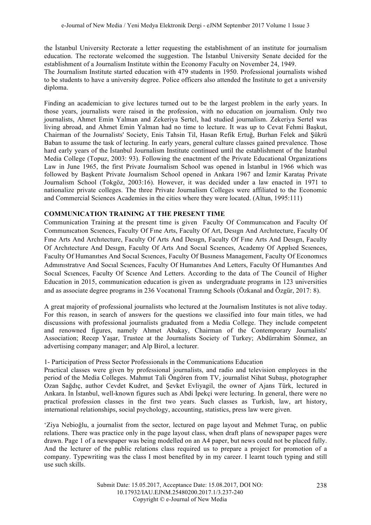the İstanbul University Rectorate a letter requesting the establishment of an institute for journalism education. The rectorate welcomed the suggestion. The İstanbul University Senate decided for the establishment of a Journalism Institute within the Economy Faculty on November 24, 1949.

The Journalism Institute started education with 479 students in 1950. Professional journalists wished to be students to have a university degree. Police officers also attended the Institute to get a university diploma.

Finding an academician to give lectures turned out to be the largest problem in the early years. In those years, journalists were raised in the profession, with no education on journalism. Only two journalists, Ahmet Emin Yalman and Zekeriya Sertel, had studied journalism. Zekeriya Sertel was living abroad, and Ahmet Emin Yalman had no time to lecture. It was up to Cevat Fehmi Başkut, Chairman of the Journalists' Society, Enis Tahsin Til, Hasan Refik Ertuğ, Burhan Felek and Şükrü Baban to assume the task of lecturing. In early years, general culture classes gained prevalence. Those hard early years of the İstanbul Journalism Institute continued until the establishment of the İstanbul Media College (Topuz, 2003: 93). Following the enactment of the Private Educational Organizations Law in June 1965, the first Private Journalism School was opened in İstanbul in 1966 which was followed by Başkent Private Journalism School opened in Ankara 1967 and İzmir Karataş Private Journalism School (Tokgöz, 2003:16). However, it was decided under a law enacted in 1971 to nationalize private colleges. The three Private Journalism Colleges were affiliated to the Economic and Commercial Sciences Academies in the cities where they were located. (Altun, 1995:111)

# **COMMUNICATION TRAINING AT THE PRESENT TIME**

Communication Training at the present time is given Faculty Of Communıcatıon and Faculty Of Communıcatıon Scıences, Faculty Of Fıne Arts, Faculty Of Art, Desıgn And Archıtecture, Faculty Of Fıne Arts And Archıtecture, Faculty Of Arts And Desıgn, Faculty Of Fıne Arts And Desıgn, Faculty Of Archıtecture And Desıgn, Faculty Of Arts And Socıal Scıences, Academy Of Applıed Scıences, Faculty Of Humanıtıes And Socıal Scıences, Faculty Of Busıness Management, Faculty Of Economıcs Admınıstratıve And Socıal Scıences, Faculty Of Humanıtıes And Letters, Faculty Of Humanıtıes And Socıal Scıences, Faculty Of Scıence And Letters. According to the data of The Council of Higher Education in 2015, communication education is given as undergraduate programs in 123 universities and as associate degree programs in 236 Vocatıonal Traınıng Schools (Özkanal and Özgür, 2017: 8).

A great majority of professional journalists who lectured at the Journalism Institutes is not alive today. For this reason, in search of answers for the questions we classified into four main titles, we had discussions with professional journalists graduated from a Media College. They include competent and renowned figures, namely Ahmet Abakay, Chairman of the Contemporary Journalists' Association; Recep Yaşar, Trustee at the Journalists Society of Turkey; Abdürrahim Sönmez, an advertising company manager; and Alp Birol, a lecturer.

## 1- Participation of Press Sector Professionals in the Communications Education

Practical classes were given by professional journalists, and radio and television employees in the period of the Media Colleges. Mahmut Tali Öngören from TV, journalist Nihat Subaşı, photographer Ozan Sağdıç, author Cevdet Kudret, and Şevket Evliyagil, the owner of Ajans Türk, lectured in Ankara. In İstanbul, well-known figures such as Abdi İpekçi were lecturing. In general, there were no practical profession classes in the first two years. Such classes as Turkish, law, art history, international relationships, social psychology, accounting, statistics, press law were given.

'Ziya Nebioğlu, a journalist from the sector, lectured on page layout and Mehmet Turaç, on public relations. There was practice only in the page layout class, when draft plans of newspaper pages were drawn. Page 1 of a newspaper was being modelled on an A4 paper, but news could not be placed fully. And the lecturer of the public relations class required us to prepare a project for promotion of a company. Typewriting was the class I most benefited by in my career. I learnt touch typing and still use such skills.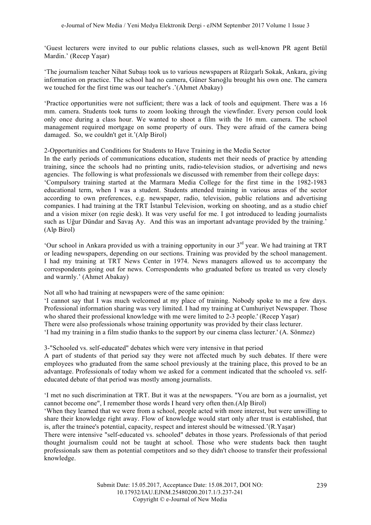'Guest lecturers were invited to our public relations classes, such as well-known PR agent Betül Mardin.' (Recep Yaşar)

'The journalism teacher Nihat Subaşı took us to various newspapers at Rüzgarlı Sokak, Ankara, giving information on practice. The school had no camera, Güner Sarıoğlu brought his own one. The camera we touched for the first time was our teacher's '(Ahmet Abakay)

'Practice opportunities were not sufficient; there was a lack of tools and equipment. There was a 16 mm. camera. Students took turns to zoom looking through the viewfinder. Every person could look only once during a class hour. We wanted to shoot a film with the 16 mm. camera. The school management required mortgage on some property of ours. They were afraid of the camera being damaged. So, we couldn't get it.'(Alp Birol)

2-Opportunities and Conditions for Students to Have Training in the Media Sector

In the early periods of communications education, students met their needs of practice by attending training, since the schools had no printing units, radio-television studios, or advertising and news agencies. The following is what professionals we discussed with remember from their college days: 'Compulsory training started at the Marmara Media College for the first time in the 1982-1983 educational term, when I was a student. Students attended training in various areas of the sector according to own preferences, e.g. newspaper, radio, television, public relations and advertising companies. I had training at the TRT İstanbul Television, working on shooting, and as a studio chief and a vision mixer (on regie desk). It was very useful for me. I got introduced to leading journalists such as Uğur Dündar and Savaş Ay. And this was an important advantage provided by the training.' (Alp Birol)

'Our school in Ankara provided us with a training opportunity in our 3rd year. We had training at TRT or leading newspapers, depending on our sections. Training was provided by the school management. I had my training at TRT News Center in 1974. News managers allowed us to accompany the correspondents going out for news. Correspondents who graduated before us treated us very closely and warmly.' (Ahmet Abakay)

Not all who had training at newspapers were of the same opinion:

'I cannot say that I was much welcomed at my place of training. Nobody spoke to me a few days. Professional information sharing was very limited. I had my training at Cumhuriyet Newspaper. Those who shared their professional knowledge with me were limited to 2-3 people.' (Recep Yaşar) There were also professionals whose training opportunity was provided by their class lecturer. 'I had my training in a film studio thanks to the support by our cinema class lecturer.' (A. Sönmez)

3-"Schooled vs. self-educated" debates which were very intensive in that period

A part of students of that period say they were not affected much by such debates. If there were employees who graduated from the same school previously at the training place, this proved to be an advantage. Professionals of today whom we asked for a comment indicated that the schooled vs. selfeducated debate of that period was mostly among journalists.

'I met no such discrimination at TRT. But it was at the newspapers. "You are born as a journalist, yet cannot become one", I remember those words I heard very often then.(Alp Birol)

'When they learned that we were from a school, people acted with more interest, but were unwilling to share their knowledge right away. Flow of knowledge would start only after trust is established, that is, after the trainee's potential, capacity, respect and interest should be witnessed.'(R.Yaşar)

There were intensive "self-educated vs. schooled" debates in those years. Professionals of that period thought journalism could not be taught at school. Those who were students back then taught professionals saw them as potential competitors and so they didn't choose to transfer their professional knowledge.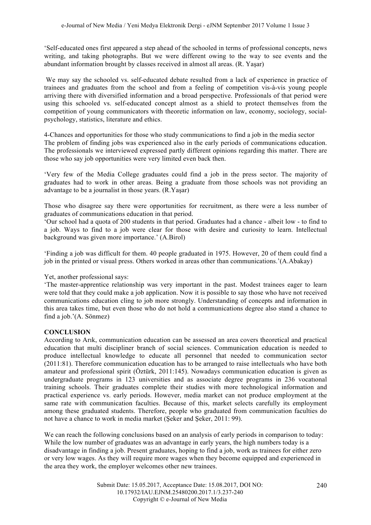'Self-educated ones first appeared a step ahead of the schooled in terms of professional concepts, news writing, and taking photographs. But we were different owing to the way to see events and the abundant information brought by classes received in almost all areas. (R. Yaşar)

We may say the schooled vs. self-educated debate resulted from a lack of experience in practice of trainees and graduates from the school and from a feeling of competition vis-à-vis young people arriving there with diversified information and a broad perspective. Professionals of that period were using this schooled vs. self-educated concept almost as a shield to protect themselves from the competition of young communicators with theoretic information on law, economy, sociology, socialpsychology, statistics, literature and ethics.

4-Chances and opportunities for those who study communications to find a job in the media sector The problem of finding jobs was experienced also in the early periods of communications education. The professionals we interviewed expressed partly different opinions regarding this matter. There are those who say job opportunities were very limited even back then.

'Very few of the Media College graduates could find a job in the press sector. The majority of graduates had to work in other areas. Being a graduate from those schools was not providing an advantage to be a journalist in those years. (R.Yaşar)

Those who disagree say there were opportunities for recruitment, as there were a less number of graduates of communications education in that period.

'Our school had a quota of 200 students in that period. Graduates had a chance - albeit low - to find to a job. Ways to find to a job were clear for those with desire and curiosity to learn. Intellectual background was given more importance.' (A.Birol)

'Finding a job was difficult for them. 40 people graduated in 1975. However, 20 of them could find a job in the printed or visual press. Others worked in areas other than communications.'(A.Abakay)

## Yet, another professional says:

'The master-apprentice relationship was very important in the past. Modest trainees eager to learn were told that they could make a job application. Now it is possible to say those who have not received communications education cling to job more strongly. Understanding of concepts and information in this area takes time, but even those who do not hold a communications degree also stand a chance to find a job.'(A. Sönmez)

## **CONCLUSION**

According to Arık, communication education can be assessed an area covers theoretical and practical education that multi discipliner branch of social sciences. Communication education is needed to produce intellectual knowledge to educate all personnel that needed to communication sector (2011:81). Therefore communication education has to be arranged to raise intellectuals who have both amateur and professional spirit (Öztürk, 2011:145). Nowadays communication education is given as undergraduate programs in 123 universities and as associate degree programs in 236 vocatıonal training schools. Their graduates complete their studies with more technological information and practical experience vs. early periods. However, media market can not produce employment at the same rate with communication faculties. Because of this, market selects carefully its employment among these graduated students. Therefore, people who graduated from communication faculties do not have a chance to work in media market (Şeker and Şeker, 2011: 99).

We can reach the following conclusions based on an analysis of early periods in comparison to today: While the low number of graduates was an advantage in early years, the high numbers today is a disadvantage in finding a job. Present graduates, hoping to find a job, work as trainees for either zero or very low wages. As they will require more wages when they become equipped and experienced in the area they work, the employer welcomes other new trainees.